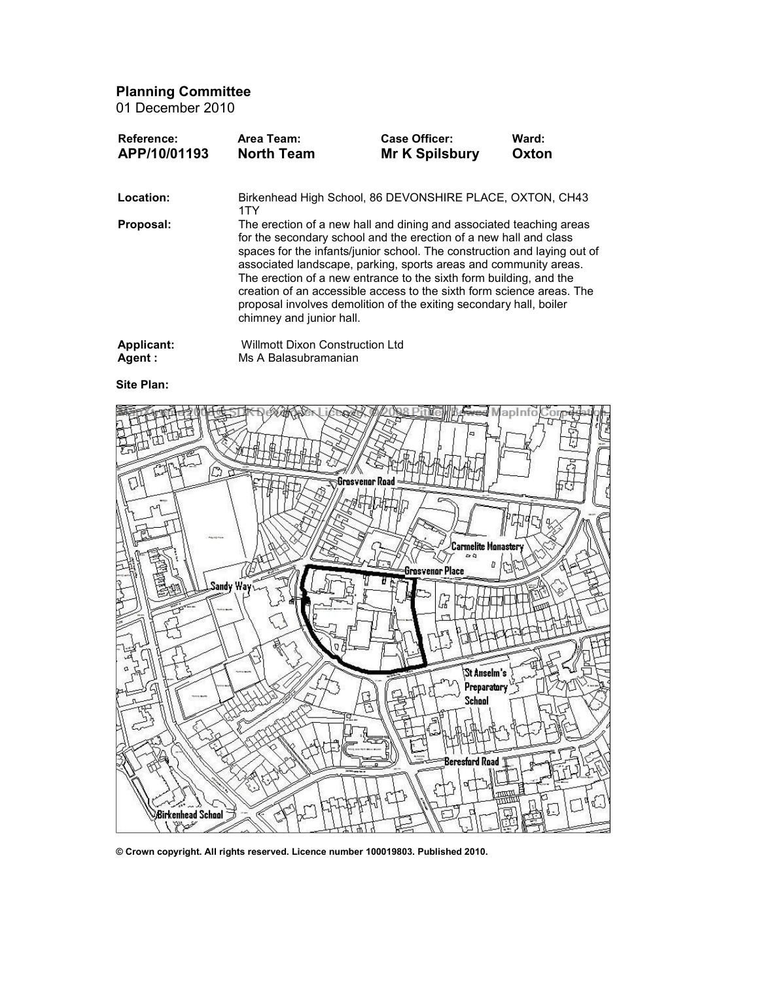Planning Committee 01 December 2010

| Area Team:<br><b>North Team</b> | <b>Case Officer:</b><br><b>Mr K Spilsbury</b> | Ward:<br>Oxton                                                                                                                                                                                                                                                                                                                                                                                                                                                                                                                                                                                                                                                          |
|---------------------------------|-----------------------------------------------|-------------------------------------------------------------------------------------------------------------------------------------------------------------------------------------------------------------------------------------------------------------------------------------------------------------------------------------------------------------------------------------------------------------------------------------------------------------------------------------------------------------------------------------------------------------------------------------------------------------------------------------------------------------------------|
|                                 |                                               |                                                                                                                                                                                                                                                                                                                                                                                                                                                                                                                                                                                                                                                                         |
|                                 |                                               |                                                                                                                                                                                                                                                                                                                                                                                                                                                                                                                                                                                                                                                                         |
|                                 |                                               |                                                                                                                                                                                                                                                                                                                                                                                                                                                                                                                                                                                                                                                                         |
|                                 | 1TY                                           | Birkenhead High School, 86 DEVONSHIRE PLACE, OXTON, CH43<br>The erection of a new hall and dining and associated teaching areas<br>for the secondary school and the erection of a new hall and class<br>spaces for the infants/junior school. The construction and laying out of<br>associated landscape, parking, sports areas and community areas.<br>The erection of a new entrance to the sixth form building, and the<br>creation of an accessible access to the sixth form science areas. The<br>proposal involves demolition of the exiting secondary hall, boiler<br>chimney and junior hall.<br><b>Willmott Dixon Construction Ltd</b><br>Ms A Balasubramanian |

Site Plan:



© Crown copyright. All rights reserved. Licence number 100019803. Published 2010.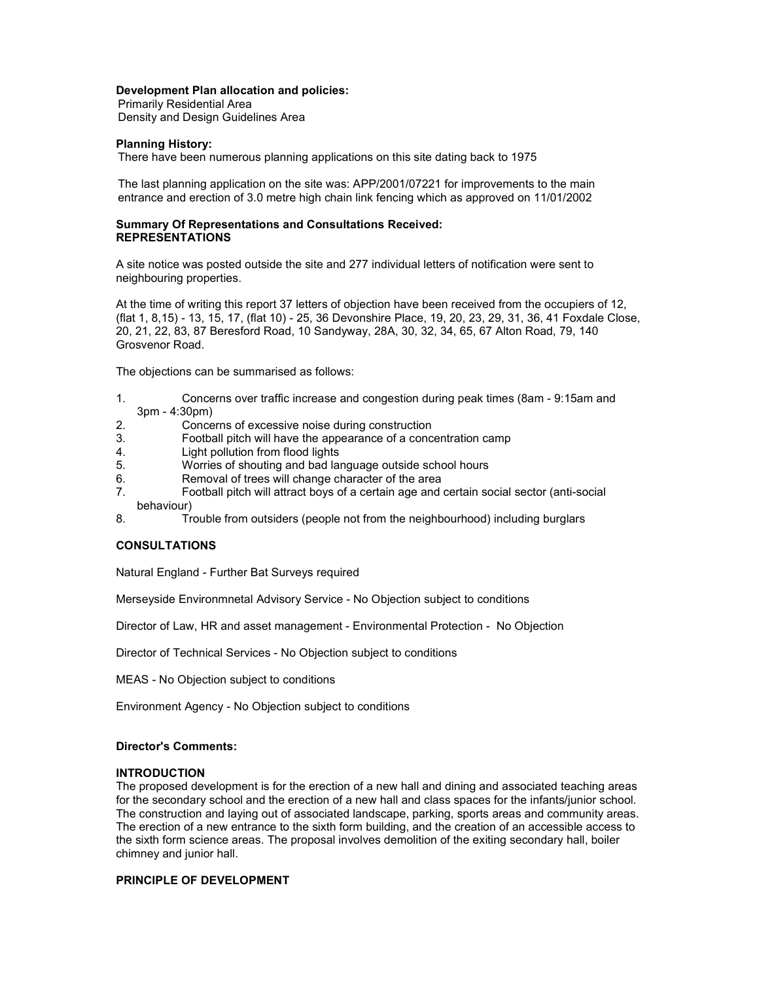## Development Plan allocation and policies:

Primarily Residential Area Density and Design Guidelines Area

# Planning History:

There have been numerous planning applications on this site dating back to 1975

The last planning application on the site was: APP/2001/07221 for improvements to the main entrance and erection of 3.0 metre high chain link fencing which as approved on 11/01/2002

## Summary Of Representations and Consultations Received: REPRESENTATIONS

A site notice was posted outside the site and 277 individual letters of notification were sent to neighbouring properties.

At the time of writing this report 37 letters of objection have been received from the occupiers of 12, (flat 1, 8,15) - 13, 15, 17, (flat 10) - 25, 36 Devonshire Place, 19, 20, 23, 29, 31, 36, 41 Foxdale Close, 20, 21, 22, 83, 87 Beresford Road, 10 Sandyway, 28A, 30, 32, 34, 65, 67 Alton Road, 79, 140 Grosvenor Road.

The objections can be summarised as follows:

- 1. Concerns over traffic increase and congestion during peak times (8am 9:15am and 3pm - 4:30pm)
- 2. Concerns of excessive noise during construction
- 3. Football pitch will have the appearance of a concentration camp
- 4. Light pollution from flood lights<br>5. Worries of shouting and bad la
- 5. Worries of shouting and bad language outside school hours
- 6. Removal of trees will change character of the area
- 7. Football pitch will attract boys of a certain age and certain social sector (anti-social behaviour)
- 8. Trouble from outsiders (people not from the neighbourhood) including burglars

# **CONSULTATIONS**

Natural England - Further Bat Surveys required

Merseyside Environmnetal Advisory Service - No Objection subject to conditions

Director of Law, HR and asset management - Environmental Protection - No Objection

Director of Technical Services - No Objection subject to conditions

MEAS - No Objection subject to conditions

Environment Agency - No Objection subject to conditions

# Director's Comments:

## INTRODUCTION

The proposed development is for the erection of a new hall and dining and associated teaching areas for the secondary school and the erection of a new hall and class spaces for the infants/junior school. The construction and laying out of associated landscape, parking, sports areas and community areas. The erection of a new entrance to the sixth form building, and the creation of an accessible access to the sixth form science areas. The proposal involves demolition of the exiting secondary hall, boiler chimney and junior hall.

# PRINCIPLE OF DEVELOPMENT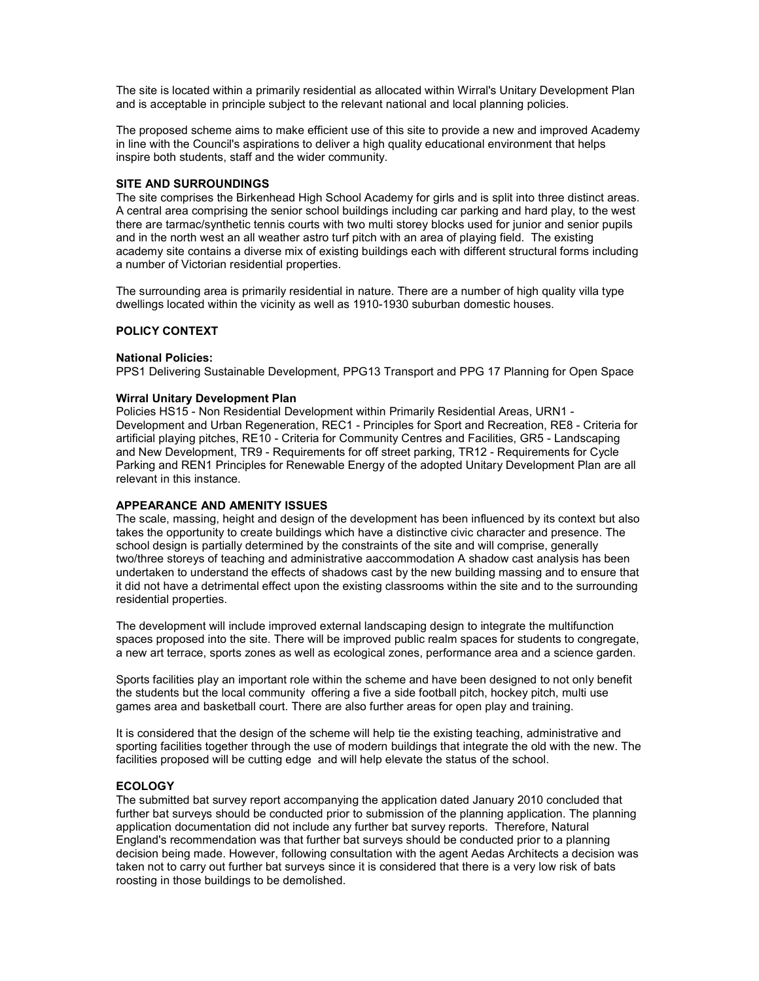The site is located within a primarily residential as allocated within Wirral's Unitary Development Plan and is acceptable in principle subject to the relevant national and local planning policies.

The proposed scheme aims to make efficient use of this site to provide a new and improved Academy in line with the Council's aspirations to deliver a high quality educational environment that helps inspire both students, staff and the wider community.

### SITE AND SURROUNDINGS

The site comprises the Birkenhead High School Academy for girls and is split into three distinct areas. A central area comprising the senior school buildings including car parking and hard play, to the west there are tarmac/synthetic tennis courts with two multi storey blocks used for junior and senior pupils and in the north west an all weather astro turf pitch with an area of playing field. The existing academy site contains a diverse mix of existing buildings each with different structural forms including a number of Victorian residential properties.

The surrounding area is primarily residential in nature. There are a number of high quality villa type dwellings located within the vicinity as well as 1910-1930 suburban domestic houses.

# POLICY CONTEXT

#### National Policies:

PPS1 Delivering Sustainable Development, PPG13 Transport and PPG 17 Planning for Open Space

#### Wirral Unitary Development Plan

Policies HS15 - Non Residential Development within Primarily Residential Areas, URN1 - Development and Urban Regeneration, REC1 - Principles for Sport and Recreation, RE8 - Criteria for artificial playing pitches, RE10 - Criteria for Community Centres and Facilities, GR5 - Landscaping and New Development, TR9 - Requirements for off street parking, TR12 - Requirements for Cycle Parking and REN1 Principles for Renewable Energy of the adopted Unitary Development Plan are all relevant in this instance.

#### APPEARANCE AND AMENITY ISSUES

The scale, massing, height and design of the development has been influenced by its context but also takes the opportunity to create buildings which have a distinctive civic character and presence. The school design is partially determined by the constraints of the site and will comprise, generally two/three storeys of teaching and administrative aaccommodation A shadow cast analysis has been undertaken to understand the effects of shadows cast by the new building massing and to ensure that it did not have a detrimental effect upon the existing classrooms within the site and to the surrounding residential properties.

The development will include improved external landscaping design to integrate the multifunction spaces proposed into the site. There will be improved public realm spaces for students to congregate, a new art terrace, sports zones as well as ecological zones, performance area and a science garden.

Sports facilities play an important role within the scheme and have been designed to not only benefit the students but the local community offering a five a side football pitch, hockey pitch, multi use games area and basketball court. There are also further areas for open play and training.

It is considered that the design of the scheme will help tie the existing teaching, administrative and sporting facilities together through the use of modern buildings that integrate the old with the new. The facilities proposed will be cutting edge and will help elevate the status of the school.

# **ECOLOGY**

The submitted bat survey report accompanying the application dated January 2010 concluded that further bat surveys should be conducted prior to submission of the planning application. The planning application documentation did not include any further bat survey reports. Therefore, Natural England's recommendation was that further bat surveys should be conducted prior to a planning decision being made. However, following consultation with the agent Aedas Architects a decision was taken not to carry out further bat surveys since it is considered that there is a very low risk of bats roosting in those buildings to be demolished.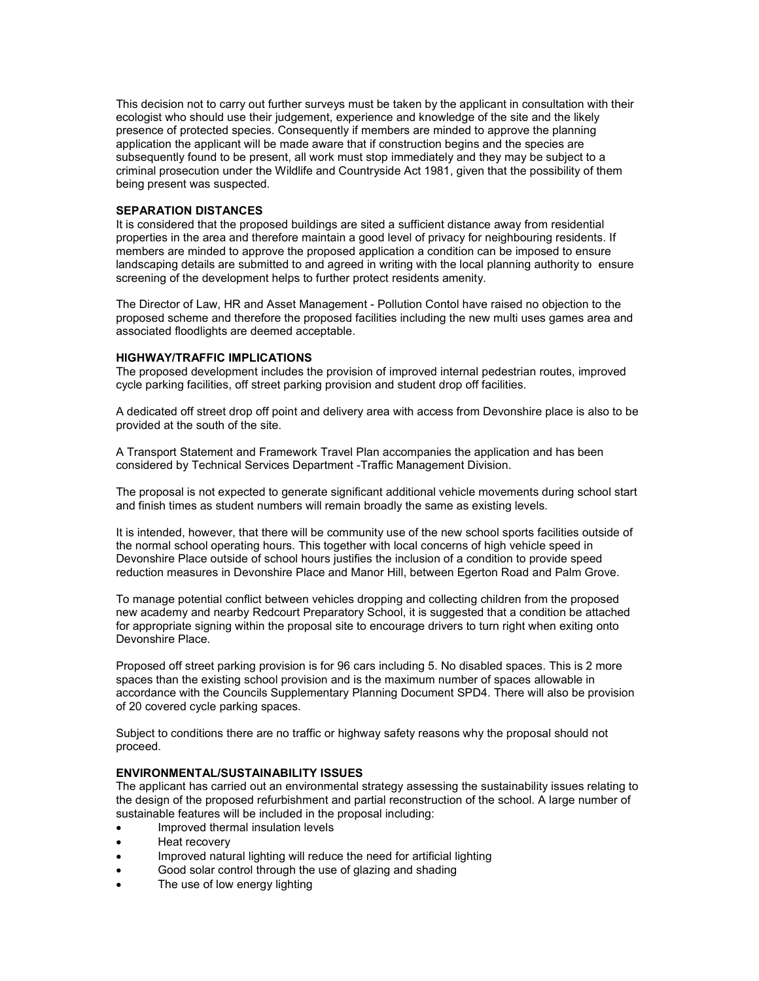This decision not to carry out further surveys must be taken by the applicant in consultation with their ecologist who should use their judgement, experience and knowledge of the site and the likely presence of protected species. Consequently if members are minded to approve the planning application the applicant will be made aware that if construction begins and the species are subsequently found to be present, all work must stop immediately and they may be subject to a criminal prosecution under the Wildlife and Countryside Act 1981, given that the possibility of them being present was suspected.

# SEPARATION DISTANCES

It is considered that the proposed buildings are sited a sufficient distance away from residential properties in the area and therefore maintain a good level of privacy for neighbouring residents. If members are minded to approve the proposed application a condition can be imposed to ensure landscaping details are submitted to and agreed in writing with the local planning authority to ensure screening of the development helps to further protect residents amenity.

The Director of Law, HR and Asset Management - Pollution Contol have raised no objection to the proposed scheme and therefore the proposed facilities including the new multi uses games area and associated floodlights are deemed acceptable.

#### HIGHWAY/TRAFFIC IMPLICATIONS

The proposed development includes the provision of improved internal pedestrian routes, improved cycle parking facilities, off street parking provision and student drop off facilities.

A dedicated off street drop off point and delivery area with access from Devonshire place is also to be provided at the south of the site.

A Transport Statement and Framework Travel Plan accompanies the application and has been considered by Technical Services Department -Traffic Management Division.

The proposal is not expected to generate significant additional vehicle movements during school start and finish times as student numbers will remain broadly the same as existing levels.

It is intended, however, that there will be community use of the new school sports facilities outside of the normal school operating hours. This together with local concerns of high vehicle speed in Devonshire Place outside of school hours justifies the inclusion of a condition to provide speed reduction measures in Devonshire Place and Manor Hill, between Egerton Road and Palm Grove.

To manage potential conflict between vehicles dropping and collecting children from the proposed new academy and nearby Redcourt Preparatory School, it is suggested that a condition be attached for appropriate signing within the proposal site to encourage drivers to turn right when exiting onto Devonshire Place.

Proposed off street parking provision is for 96 cars including 5. No disabled spaces. This is 2 more spaces than the existing school provision and is the maximum number of spaces allowable in accordance with the Councils Supplementary Planning Document SPD4. There will also be provision of 20 covered cycle parking spaces.

Subject to conditions there are no traffic or highway safety reasons why the proposal should not proceed.

# ENVIRONMENTAL/SUSTAINABILITY ISSUES

The applicant has carried out an environmental strategy assessing the sustainability issues relating to the design of the proposed refurbishment and partial reconstruction of the school. A large number of sustainable features will be included in the proposal including:

- Improved thermal insulation levels
- Heat recovery
- Improved natural lighting will reduce the need for artificial lighting
- Good solar control through the use of glazing and shading
- The use of low energy lighting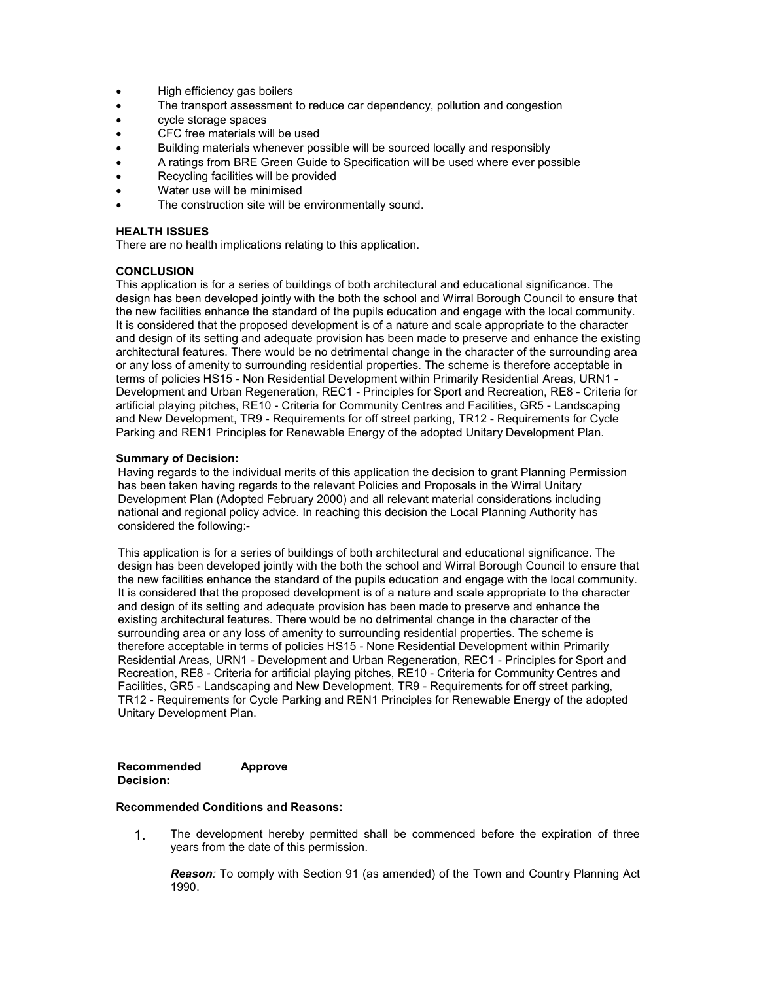- High efficiency gas boilers
- The transport assessment to reduce car dependency, pollution and congestion
- cycle storage spaces
- CFC free materials will be used
- Building materials whenever possible will be sourced locally and responsibly
- A ratings from BRE Green Guide to Specification will be used where ever possible
- Recycling facilities will be provided
- Water use will be minimised
- The construction site will be environmentally sound.

# HEALTH ISSUES

There are no health implications relating to this application.

## **CONCLUSION**

This application is for a series of buildings of both architectural and educational significance. The design has been developed jointly with the both the school and Wirral Borough Council to ensure that the new facilities enhance the standard of the pupils education and engage with the local community. It is considered that the proposed development is of a nature and scale appropriate to the character and design of its setting and adequate provision has been made to preserve and enhance the existing architectural features. There would be no detrimental change in the character of the surrounding area or any loss of amenity to surrounding residential properties. The scheme is therefore acceptable in terms of policies HS15 - Non Residential Development within Primarily Residential Areas, URN1 - Development and Urban Regeneration, REC1 - Principles for Sport and Recreation, RE8 - Criteria for artificial playing pitches, RE10 - Criteria for Community Centres and Facilities, GR5 - Landscaping and New Development, TR9 - Requirements for off street parking, TR12 - Requirements for Cycle Parking and REN1 Principles for Renewable Energy of the adopted Unitary Development Plan.

## Summary of Decision:

Having regards to the individual merits of this application the decision to grant Planning Permission has been taken having regards to the relevant Policies and Proposals in the Wirral Unitary Development Plan (Adopted February 2000) and all relevant material considerations including national and regional policy advice. In reaching this decision the Local Planning Authority has considered the following:-

This application is for a series of buildings of both architectural and educational significance. The design has been developed jointly with the both the school and Wirral Borough Council to ensure that the new facilities enhance the standard of the pupils education and engage with the local community. It is considered that the proposed development is of a nature and scale appropriate to the character and design of its setting and adequate provision has been made to preserve and enhance the existing architectural features. There would be no detrimental change in the character of the surrounding area or any loss of amenity to surrounding residential properties. The scheme is therefore acceptable in terms of policies HS15 - None Residential Development within Primarily Residential Areas, URN1 - Development and Urban Regeneration, REC1 - Principles for Sport and Recreation, RE8 - Criteria for artificial playing pitches, RE10 - Criteria for Community Centres and Facilities, GR5 - Landscaping and New Development, TR9 - Requirements for off street parking, TR12 - Requirements for Cycle Parking and REN1 Principles for Renewable Energy of the adopted Unitary Development Plan.

Recommended Decision: Approve

## Recommended Conditions and Reasons:

1. The development hereby permitted shall be commenced before the expiration of three years from the date of this permission.

**Reason:** To comply with Section 91 (as amended) of the Town and Country Planning Act 1990.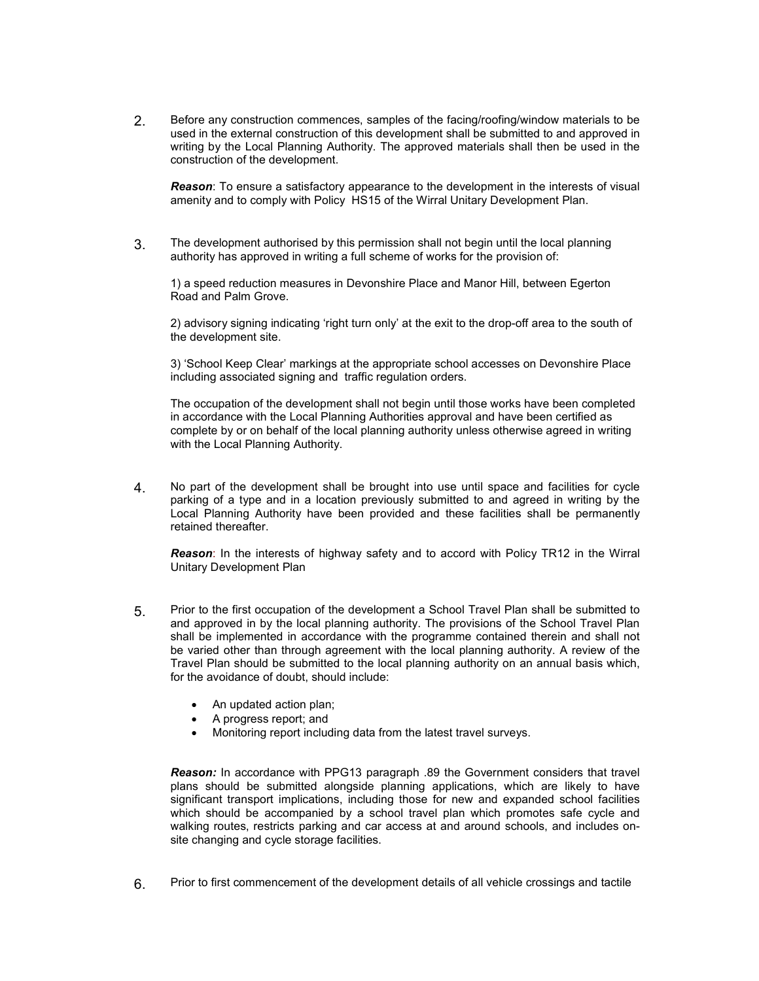2. Before any construction commences, samples of the facing/roofing/window materials to be used in the external construction of this development shall be submitted to and approved in writing by the Local Planning Authority. The approved materials shall then be used in the construction of the development.

**Reason:** To ensure a satisfactory appearance to the development in the interests of visual amenity and to comply with Policy HS15 of the Wirral Unitary Development Plan.

3. The development authorised by this permission shall not begin until the local planning authority has approved in writing a full scheme of works for the provision of:

1) a speed reduction measures in Devonshire Place and Manor Hill, between Egerton Road and Palm Grove.

2) advisory signing indicating 'right turn only' at the exit to the drop-off area to the south of the development site.

3) 'School Keep Clear' markings at the appropriate school accesses on Devonshire Place including associated signing and traffic regulation orders.

The occupation of the development shall not begin until those works have been completed in accordance with the Local Planning Authorities approval and have been certified as complete by or on behalf of the local planning authority unless otherwise agreed in writing with the Local Planning Authority.

4. No part of the development shall be brought into use until space and facilities for cycle parking of a type and in a location previously submitted to and agreed in writing by the Local Planning Authority have been provided and these facilities shall be permanently retained thereafter.

Reason: In the interests of highway safety and to accord with Policy TR12 in the Wirral Unitary Development Plan

- 5. Prior to the first occupation of the development a School Travel Plan shall be submitted to and approved in by the local planning authority. The provisions of the School Travel Plan shall be implemented in accordance with the programme contained therein and shall not be varied other than through agreement with the local planning authority. A review of the Travel Plan should be submitted to the local planning authority on an annual basis which, for the avoidance of doubt, should include:
	- An updated action plan;
	- A progress report; and
	- Monitoring report including data from the latest travel surveys.

Reason: In accordance with PPG13 paragraph .89 the Government considers that travel plans should be submitted alongside planning applications, which are likely to have significant transport implications, including those for new and expanded school facilities which should be accompanied by a school travel plan which promotes safe cycle and walking routes, restricts parking and car access at and around schools, and includes onsite changing and cycle storage facilities.

6. Prior to first commencement of the development details of all vehicle crossings and tactile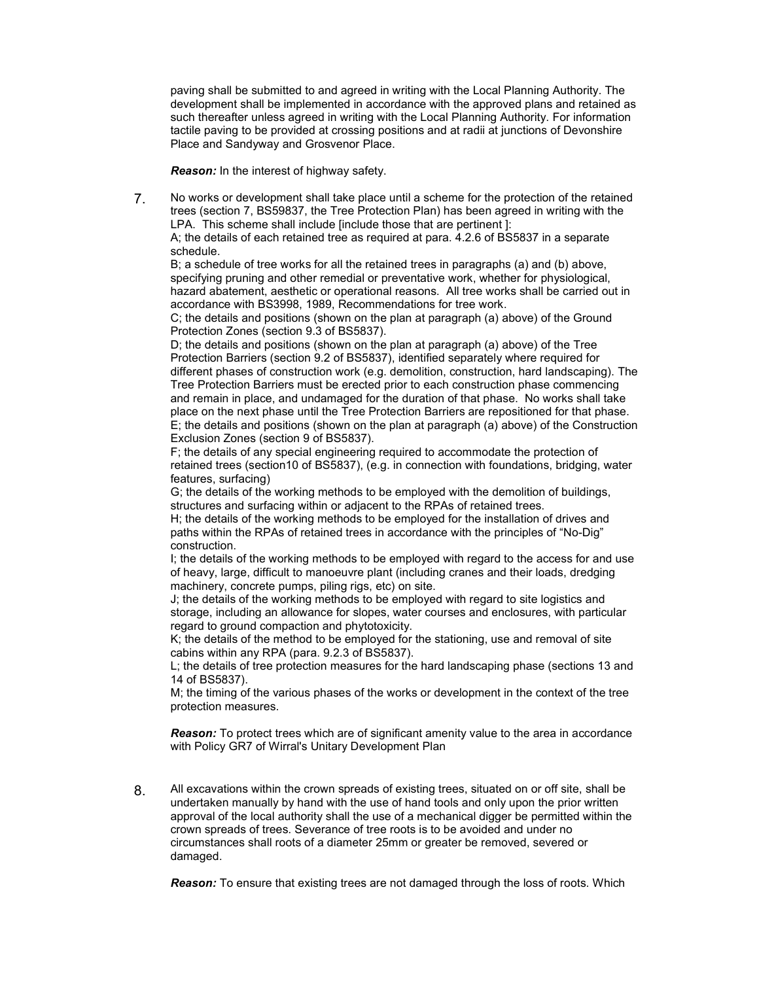paving shall be submitted to and agreed in writing with the Local Planning Authority. The development shall be implemented in accordance with the approved plans and retained as such thereafter unless agreed in writing with the Local Planning Authority. For information tactile paving to be provided at crossing positions and at radii at junctions of Devonshire Place and Sandyway and Grosvenor Place.

Reason: In the interest of highway safety.

7. No works or development shall take place until a scheme for the protection of the retained trees (section 7, BS59837, the Tree Protection Plan) has been agreed in writing with the LPA. This scheme shall include [include those that are pertinent]:

A; the details of each retained tree as required at para. 4.2.6 of BS5837 in a separate schedule.

B; a schedule of tree works for all the retained trees in paragraphs (a) and (b) above, specifying pruning and other remedial or preventative work, whether for physiological, hazard abatement, aesthetic or operational reasons. All tree works shall be carried out in accordance with BS3998, 1989, Recommendations for tree work.

C; the details and positions (shown on the plan at paragraph (a) above) of the Ground Protection Zones (section 9.3 of BS5837).

D; the details and positions (shown on the plan at paragraph (a) above) of the Tree Protection Barriers (section 9.2 of BS5837), identified separately where required for different phases of construction work (e.g. demolition, construction, hard landscaping). The Tree Protection Barriers must be erected prior to each construction phase commencing and remain in place, and undamaged for the duration of that phase. No works shall take place on the next phase until the Tree Protection Barriers are repositioned for that phase. E; the details and positions (shown on the plan at paragraph (a) above) of the Construction Exclusion Zones (section 9 of BS5837).

F; the details of any special engineering required to accommodate the protection of retained trees (section10 of BS5837), (e.g. in connection with foundations, bridging, water features, surfacing)

G; the details of the working methods to be employed with the demolition of buildings, structures and surfacing within or adjacent to the RPAs of retained trees.

H; the details of the working methods to be employed for the installation of drives and paths within the RPAs of retained trees in accordance with the principles of "No-Dig" construction.

I; the details of the working methods to be employed with regard to the access for and use of heavy, large, difficult to manoeuvre plant (including cranes and their loads, dredging machinery, concrete pumps, piling rigs, etc) on site.

J; the details of the working methods to be employed with regard to site logistics and storage, including an allowance for slopes, water courses and enclosures, with particular regard to ground compaction and phytotoxicity.

K; the details of the method to be employed for the stationing, use and removal of site cabins within any RPA (para. 9.2.3 of BS5837).

L; the details of tree protection measures for the hard landscaping phase (sections 13 and 14 of BS5837).

M; the timing of the various phases of the works or development in the context of the tree protection measures.

**Reason:** To protect trees which are of significant amenity value to the area in accordance with Policy GR7 of Wirral's Unitary Development Plan

8. All excavations within the crown spreads of existing trees, situated on or off site, shall be undertaken manually by hand with the use of hand tools and only upon the prior written approval of the local authority shall the use of a mechanical digger be permitted within the crown spreads of trees. Severance of tree roots is to be avoided and under no circumstances shall roots of a diameter 25mm or greater be removed, severed or damaged.

**Reason:** To ensure that existing trees are not damaged through the loss of roots. Which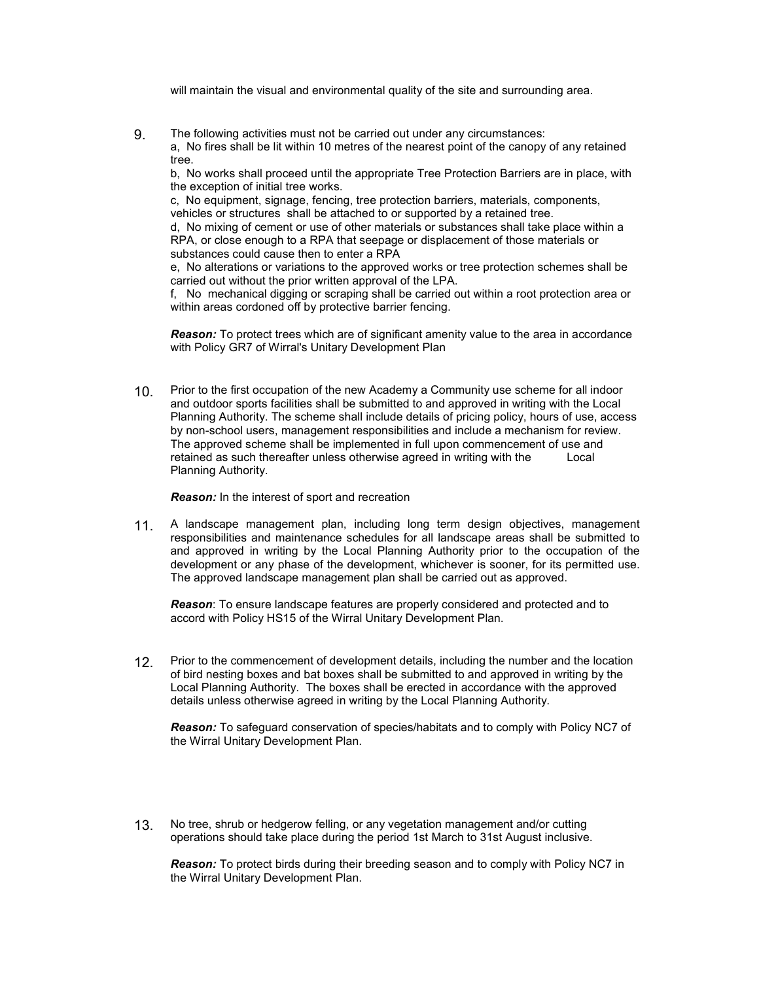will maintain the visual and environmental quality of the site and surrounding area.

9. The following activities must not be carried out under any circumstances: a, No fires shall be lit within 10 metres of the nearest point of the canopy of any retained tree.

b, No works shall proceed until the appropriate Tree Protection Barriers are in place, with the exception of initial tree works.

c, No equipment, signage, fencing, tree protection barriers, materials, components, vehicles or structures shall be attached to or supported by a retained tree.

d, No mixing of cement or use of other materials or substances shall take place within a RPA, or close enough to a RPA that seepage or displacement of those materials or substances could cause then to enter a RPA

e, No alterations or variations to the approved works or tree protection schemes shall be carried out without the prior written approval of the LPA.

f, No mechanical digging or scraping shall be carried out within a root protection area or within areas cordoned off by protective barrier fencing.

**Reason:** To protect trees which are of significant amenity value to the area in accordance with Policy GR7 of Wirral's Unitary Development Plan

10. Prior to the first occupation of the new Academy a Community use scheme for all indoor and outdoor sports facilities shall be submitted to and approved in writing with the Local Planning Authority. The scheme shall include details of pricing policy, hours of use, access by non-school users, management responsibilities and include a mechanism for review. The approved scheme shall be implemented in full upon commencement of use and retained as such thereafter unless otherwise agreed in writing with the Local Planning Authority.

Reason: In the interest of sport and recreation

11. A landscape management plan, including long term design objectives, management responsibilities and maintenance schedules for all landscape areas shall be submitted to and approved in writing by the Local Planning Authority prior to the occupation of the development or any phase of the development, whichever is sooner, for its permitted use. The approved landscape management plan shall be carried out as approved.

**Reason:** To ensure landscape features are properly considered and protected and to accord with Policy HS15 of the Wirral Unitary Development Plan.

12. Prior to the commencement of development details, including the number and the location of bird nesting boxes and bat boxes shall be submitted to and approved in writing by the Local Planning Authority. The boxes shall be erected in accordance with the approved details unless otherwise agreed in writing by the Local Planning Authority.

Reason: To safeguard conservation of species/habitats and to comply with Policy NC7 of the Wirral Unitary Development Plan.

13. No tree, shrub or hedgerow felling, or any vegetation management and/or cutting operations should take place during the period 1st March to 31st August inclusive.

Reason: To protect birds during their breeding season and to comply with Policy NC7 in the Wirral Unitary Development Plan.